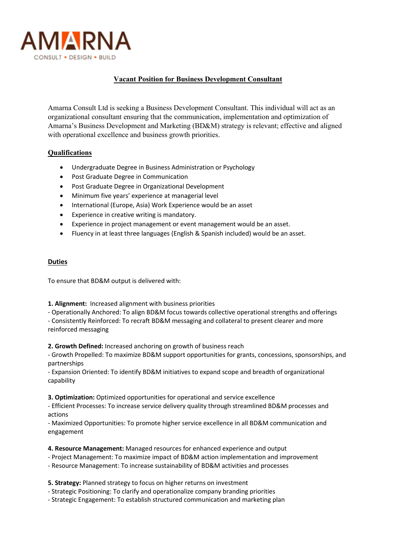

## Vacant Position for Business Development Consultant

Amarna Consult Ltd is seeking a Business Development Consultant. This individual will act as an organizational consultant ensuring that the communication, implementation and optimization of Amarna's Business Development and Marketing (BD&M) strategy is relevant; effective and aligned with operational excellence and business growth priorities.

## **Qualifications**

- Undergraduate Degree in Business Administration or Psychology
- Post Graduate Degree in Communication
- Post Graduate Degree in Organizational Development
- Minimum five years' experience at managerial level
- International (Europe, Asia) Work Experience would be an asset
- Experience in creative writing is mandatory.
- Experience in project management or event management would be an asset.
- Fluency in at least three languages (English & Spanish included) would be an asset.

## **Duties**

To ensure that BD&M output is delivered with:

1. Alignment: Increased alignment with business priorities

- Operationally Anchored: To align BD&M focus towards collective operational strengths and offerings - Consistently Reinforced: To recraft BD&M messaging and collateral to present clearer and more

reinforced messaging

2. Growth Defined: Increased anchoring on growth of business reach

- Growth Propelled: To maximize BD&M support opportunities for grants, concessions, sponsorships, and partnerships

- Expansion Oriented: To identify BD&M initiatives to expand scope and breadth of organizational capability

3. Optimization: Optimized opportunities for operational and service excellence

- Efficient Processes: To increase service delivery quality through streamlined BD&M processes and actions

- Maximized Opportunities: To promote higher service excellence in all BD&M communication and engagement

4. Resource Management: Managed resources for enhanced experience and output

- Project Management: To maximize impact of BD&M action implementation and improvement
- Resource Management: To increase sustainability of BD&M activities and processes

5. Strategy: Planned strategy to focus on higher returns on investment

- Strategic Positioning: To clarify and operationalize company branding priorities
- Strategic Engagement: To establish structured communication and marketing plan